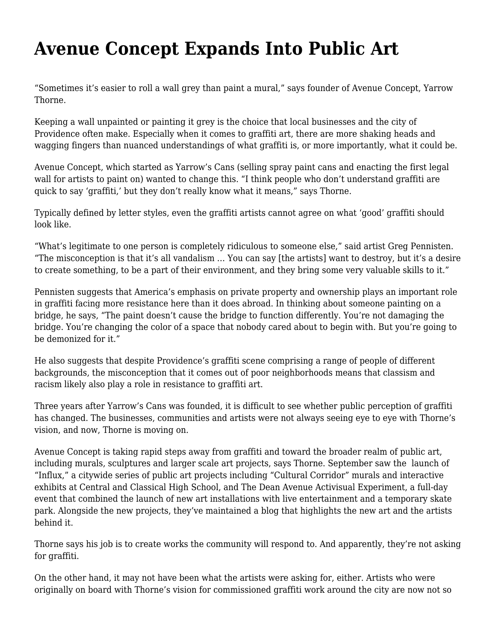## **[Avenue Concept Expands Into Public Art](https://motifri.com/avenueconcept/)**

"Sometimes it's easier to roll a wall grey than paint a mural," says founder of Avenue Concept, Yarrow Thorne.

Keeping a wall unpainted or painting it grey is the choice that local businesses and the city of Providence often make. Especially when it comes to graffiti art, there are more shaking heads and wagging fingers than nuanced understandings of what graffiti is, or more importantly, what it could be.

Avenue Concept, which started as Yarrow's Cans (selling spray paint cans and enacting the first legal wall for artists to paint on) wanted to change this. "I think people who don't understand graffiti are quick to say 'graffiti,' but they don't really know what it means," says Thorne.

Typically defined by letter styles, even the graffiti artists cannot agree on what 'good' graffiti should look like.

"What's legitimate to one person is completely ridiculous to someone else," said artist Greg Pennisten. "The misconception is that it's all vandalism … You can say [the artists] want to destroy, but it's a desire to create something, to be a part of their environment, and they bring some very valuable skills to it."

Pennisten suggests that America's emphasis on private property and ownership plays an important role in graffiti facing more resistance here than it does abroad. In thinking about someone painting on a bridge, he says, "The paint doesn't cause the bridge to function differently. You're not damaging the bridge. You're changing the color of a space that nobody cared about to begin with. But you're going to be demonized for it."

He also suggests that despite Providence's graffiti scene comprising a range of people of different backgrounds, the misconception that it comes out of poor neighborhoods means that classism and racism likely also play a role in resistance to graffiti art.

Three years after Yarrow's Cans was founded, it is difficult to see whether public perception of graffiti has changed. The businesses, communities and artists were not always seeing eye to eye with Thorne's vision, and now, Thorne is moving on.

Avenue Concept is taking rapid steps away from graffiti and toward the broader realm of public art, including murals, sculptures and larger scale art projects, says Thorne. September saw the launch of "Influx," a citywide series of public art projects including "Cultural Corridor" murals and interactive exhibits at Central and Classical High School, and The Dean Avenue Activisual Experiment, a full-day event that combined the launch of new art installations with live entertainment and a temporary skate park. Alongside the new projects, they've maintained a blog that highlights the new art and the artists behind it.

Thorne says his job is to create works the community will respond to. And apparently, they're not asking for graffiti.

On the other hand, it may not have been what the artists were asking for, either. Artists who were originally on board with Thorne's vision for commissioned graffiti work around the city are now not so